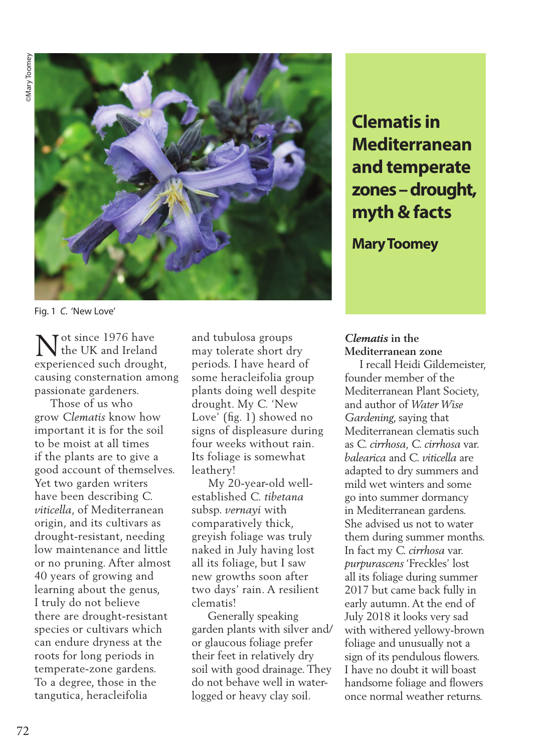

Fig. 1 *C.* 'New Love'

Tot since  $1976$  have the UK and Ireland  $\sum_{\text{the UK and Ireland}}$ <br>experienced such drought, causing consternation among passionate gardeners.

 Those of us who grow *Clematis* know how important it is for the soil to be moist at all times if the plants are to give a good account of themselves. Yet two garden writers have been describing *C. viticella*, of Mediterranean origin, and its cultivars as drought-resistant, needing low maintenance and little or no pruning. After almost 40 years of growing and learning about the genus, I truly do not believe there are drought-resistant species or cultivars which can endure dryness at the roots for long periods in temperate-zone gardens. To a degree, those in the tangutica, heracleifolia

and tubulosa groups may tolerate short dry periods. I have heard of some heracleifolia group plants doing well despite drought. My *C.* 'New Love' (fig. 1) showed no signs of displeasure during four weeks without rain. Its foliage is somewhat leathery!

 My 20-year-old wellestablished *C. tibetana*  subsp. *vernayi* with comparatively thick, greyish foliage was truly naked in July having lost all its foliage, but I saw new growths soon after two days' rain. A resilient clematis!

 Generally speaking garden plants with silver and/ or glaucous foliage prefer their feet in relatively dry soil with good drainage. They do not behave well in waterlogged or heavy clay soil.

**Clematis in Mediterranean and temperate zones – drought, myth & facts** 

**Mary Toomey**

## *Clematis* **in the Mediterranean zone**

 I recall Heidi Gildemeister, founder member of the Mediterranean Plant Society, and author of *Water Wise Gardening*, saying that Mediterranean clematis such as *C. cirrhosa, C. cirrhosa* var. *balearica* and *C. viticella* are adapted to dry summers and mild wet winters and some go into summer dormancy in Mediterranean gardens. She advised us not to water them during summer months. In fact my *C. cirrhosa* var. *purpurascens* 'Freckles' lost all its foliage during summer 2017 but came back fully in early autumn. At the end of July 2018 it looks very sad with withered yellowy-brown foliage and unusually not a sign of its pendulous flowers. I have no doubt it will boast handsome foliage and flowers once normal weather returns.